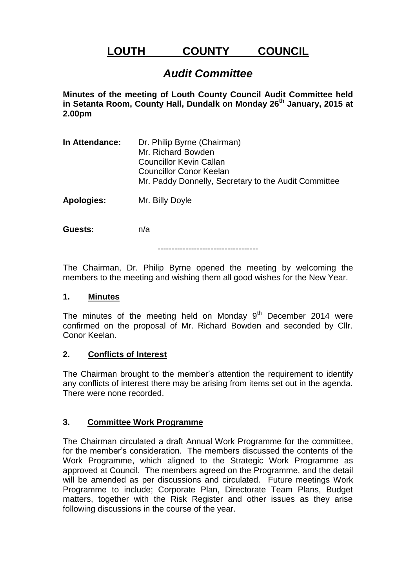# **LOUTH COUNTY COUNCIL**

## *Audit Committee*

**Minutes of the meeting of Louth County Council Audit Committee held in Setanta Room, County Hall, Dundalk on Monday 26th January, 2015 at 2.00pm**

**In Attendance:** Dr. Philip Byrne (Chairman) Mr. Richard Bowden Councillor Kevin Callan Councillor Conor Keelan Mr. Paddy Donnelly, Secretary to the Audit Committee

**Apologies:** Mr. Billy Doyle

**Guests:** n/a

------------------------------------

The Chairman, Dr. Philip Byrne opened the meeting by welcoming the members to the meeting and wishing them all good wishes for the New Year.

### **1. Minutes**

The minutes of the meeting held on Monday  $9<sup>th</sup>$  December 2014 were confirmed on the proposal of Mr. Richard Bowden and seconded by Cllr. Conor Keelan.

### **2. Conflicts of Interest**

The Chairman brought to the member's attention the requirement to identify any conflicts of interest there may be arising from items set out in the agenda. There were none recorded.

### **3. Committee Work Programme**

The Chairman circulated a draft Annual Work Programme for the committee, for the member's consideration. The members discussed the contents of the Work Programme, which aligned to the Strategic Work Programme as approved at Council. The members agreed on the Programme, and the detail will be amended as per discussions and circulated. Future meetings Work Programme to include; Corporate Plan, Directorate Team Plans, Budget matters, together with the Risk Register and other issues as they arise following discussions in the course of the year.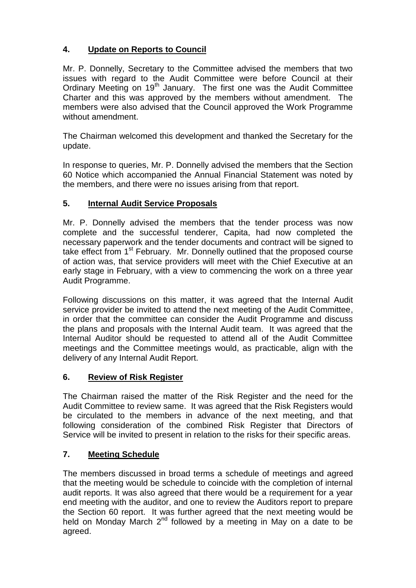## **4. Update on Reports to Council**

Mr. P. Donnelly, Secretary to the Committee advised the members that two issues with regard to the Audit Committee were before Council at their Ordinary Meeting on 19<sup>th</sup> January. The first one was the Audit Committee Charter and this was approved by the members without amendment. The members were also advised that the Council approved the Work Programme without amendment.

The Chairman welcomed this development and thanked the Secretary for the update.

In response to queries, Mr. P. Donnelly advised the members that the Section 60 Notice which accompanied the Annual Financial Statement was noted by the members, and there were no issues arising from that report.

## **5. Internal Audit Service Proposals**

Mr. P. Donnelly advised the members that the tender process was now complete and the successful tenderer, Capita, had now completed the necessary paperwork and the tender documents and contract will be signed to take effect from 1<sup>st</sup> February. Mr. Donnelly outlined that the proposed course of action was, that service providers will meet with the Chief Executive at an early stage in February, with a view to commencing the work on a three year Audit Programme.

Following discussions on this matter, it was agreed that the Internal Audit service provider be invited to attend the next meeting of the Audit Committee, in order that the committee can consider the Audit Programme and discuss the plans and proposals with the Internal Audit team. It was agreed that the Internal Auditor should be requested to attend all of the Audit Committee meetings and the Committee meetings would, as practicable, align with the delivery of any Internal Audit Report.

## **6. Review of Risk Register**

The Chairman raised the matter of the Risk Register and the need for the Audit Committee to review same. It was agreed that the Risk Registers would be circulated to the members in advance of the next meeting, and that following consideration of the combined Risk Register that Directors of Service will be invited to present in relation to the risks for their specific areas.

## **7. Meeting Schedule**

The members discussed in broad terms a schedule of meetings and agreed that the meeting would be schedule to coincide with the completion of internal audit reports. It was also agreed that there would be a requirement for a year end meeting with the auditor, and one to review the Auditors report to prepare the Section 60 report. It was further agreed that the next meeting would be held on Monday March  $2^{nd}$  followed by a meeting in May on a date to be agreed.